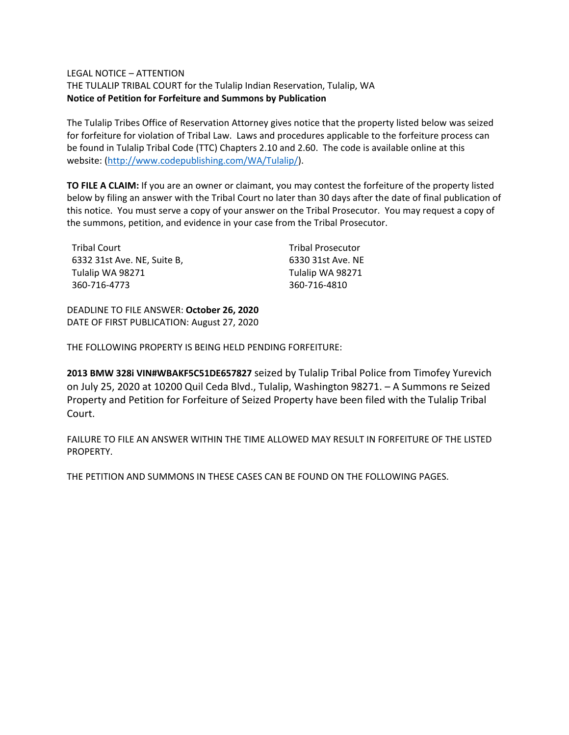### LEGAL NOTICE – ATTENTION

THE TULALIP TRIBAL COURT for the Tulalip Indian Reservation, Tulalip, WA **Notice of Petition for Forfeiture and Summons by Publication**

The Tulalip Tribes Office of Reservation Attorney gives notice that the property listed below was seized for forfeiture for violation of Tribal Law. Laws and procedures applicable to the forfeiture process can be found in Tulalip Tribal Code (TTC) Chapters 2.10 and 2.60. The code is available online at this website: [\(http://www.codepublishing.com/WA/Tulalip/\)](http://www.codepublishing.com/WA/Tulalip/).

**TO FILE A CLAIM:** If you are an owner or claimant, you may contest the forfeiture of the property listed below by filing an answer with the Tribal Court no later than 30 days after the date of final publication of this notice. You must serve a copy of your answer on the Tribal Prosecutor. You may request a copy of the summons, petition, and evidence in your case from the Tribal Prosecutor.

| Tribal Court                | <b>Tribal Prosecutor</b> |
|-----------------------------|--------------------------|
| 6332 31st Ave. NE, Suite B, | 6330 31st Ave. NE        |
| Tulalip WA 98271            | Tulalip WA 98271         |
| 360-716-4773                | 360-716-4810             |

DEADLINE TO FILE ANSWER: **October 26, 2020** DATE OF FIRST PUBLICATION: August 27, 2020

THE FOLLOWING PROPERTY IS BEING HELD PENDING FORFEITURE:

**2013 BMW 328i VIN#WBAKF5C51DE657827** seized by Tulalip Tribal Police from Timofey Yurevich on July 25, 2020 at 10200 Quil Ceda Blvd., Tulalip, Washington 98271. – A Summons re Seized Property and Petition for Forfeiture of Seized Property have been filed with the Tulalip Tribal Court.

FAILURE TO FILE AN ANSWER WITHIN THE TIME ALLOWED MAY RESULT IN FORFEITURE OF THE LISTED PROPERTY.

THE PETITION AND SUMMONS IN THESE CASES CAN BE FOUND ON THE FOLLOWING PAGES.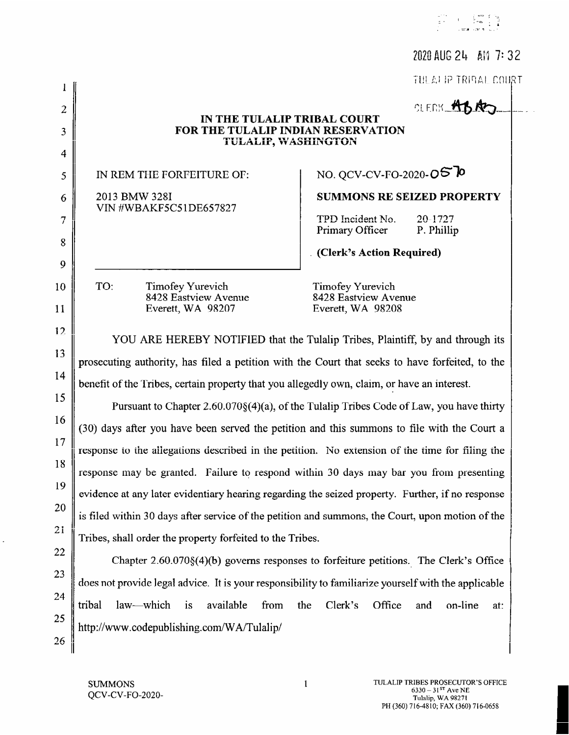|                |                                                                                                                                                                                                                                                                                  | 2020 AUG 24 AM 7:32                                                                     |  |
|----------------|----------------------------------------------------------------------------------------------------------------------------------------------------------------------------------------------------------------------------------------------------------------------------------|-----------------------------------------------------------------------------------------|--|
|                |                                                                                                                                                                                                                                                                                  | TULALEP TRIBAL COURT                                                                    |  |
| $\overline{2}$ |                                                                                                                                                                                                                                                                                  | OLENS ABRO                                                                              |  |
| 3              | IN THE TULALIP TRIBAL COURT<br>FOR THE TULALIP INDIAN RESERVATION                                                                                                                                                                                                                |                                                                                         |  |
| $\overline{4}$ | <b>TULALIP, WASHINGTON</b>                                                                                                                                                                                                                                                       |                                                                                         |  |
| 5              | IN REM THE FORFEITURE OF:                                                                                                                                                                                                                                                        | NO. QCV-CV-FO-2020-OS TO                                                                |  |
| 6              | 2013 BMW 328I                                                                                                                                                                                                                                                                    | <b>SUMMONS RE SEIZED PROPERTY</b>                                                       |  |
| $\overline{7}$ | VIN #WBAKF5C51DE657827                                                                                                                                                                                                                                                           | TPD Incident No.<br>20-1727                                                             |  |
| 8              |                                                                                                                                                                                                                                                                                  | P. Phillip<br>Primary Officer                                                           |  |
| 9              |                                                                                                                                                                                                                                                                                  | . (Clerk's Action Required)                                                             |  |
| 10             | TO:<br>Timofey Yurevich                                                                                                                                                                                                                                                          | Timofey Yurevich                                                                        |  |
| 11             | 8428 Eastview Avenue<br>Everett, WA 98207                                                                                                                                                                                                                                        | 8428 Eastview Avenue<br>Everett, WA 98208                                               |  |
|                |                                                                                                                                                                                                                                                                                  |                                                                                         |  |
| 12             | YOU ARE HEREBY NOTIFIED that the Tulalip Tribes, Plaintiff, by and through its<br>prosecuting authority, has filed a petition with the Court that seeks to have forfeited, to the<br>benefit of the Tribes, certain property that you allegedly own, claim, or have an interest. |                                                                                         |  |
| 13             |                                                                                                                                                                                                                                                                                  |                                                                                         |  |
| 14             |                                                                                                                                                                                                                                                                                  |                                                                                         |  |
| 15             |                                                                                                                                                                                                                                                                                  | Pursuant to Chapter 2.60.070§(4)(a), of the Tulalip Tribes Code of Law, you have thirty |  |
| 16             | (30) days after you have been served the petition and this summons to file with the Court a                                                                                                                                                                                      |                                                                                         |  |
| 17             | response to the allegations described in the petition. No extension of the time for filing the                                                                                                                                                                                   |                                                                                         |  |
| 18             | response may be granted. Failure to respond within 30 days may bar you from presenting                                                                                                                                                                                           |                                                                                         |  |
| 19             | evidence at any later evidentiary hearing regarding the seized property. Further, if no response                                                                                                                                                                                 |                                                                                         |  |
| 20             | is filed within 30 days after service of the petition and summons, the Court, upon motion of the                                                                                                                                                                                 |                                                                                         |  |
| 21             | Tribes, shall order the property forfeited to the Tribes.                                                                                                                                                                                                                        |                                                                                         |  |
| 22             |                                                                                                                                                                                                                                                                                  | Chapter $2.60.070\{(4)\}$ governs responses to forfeiture petitions. The Clerk's Office |  |
| 23             | does not provide legal advice. It is your responsibility to familiarize yourself with the applicable                                                                                                                                                                             |                                                                                         |  |
| 24             | law—which is<br>available<br>from<br>tribal                                                                                                                                                                                                                                      | the<br>Clerk's<br>Office<br>and<br>on-line<br>at:                                       |  |
| 25             | http://www.codepublishing.com/WA/Tulalip/                                                                                                                                                                                                                                        |                                                                                         |  |
| 26             |                                                                                                                                                                                                                                                                                  |                                                                                         |  |

 $\mathbf 1$ 

 $\hat{\mathcal{L}}$ 

 $\begin{array}{ccc} \omega^{\frac{1}{2}+\epsilon} & \epsilon & \frac{1}{2} \frac{\omega_{\text{min}}}{\omega} & \frac{\omega_{\text{min}}}{\omega} \\ \frac{\omega_{\text{min}}}{\omega} & \epsilon & \frac{1}{2} \frac{\omega_{\text{min}}}{\omega} & \frac{\omega_{\text{min}}}{\omega} \\ \frac{\omega_{\text{min}}}{\omega} & \epsilon & \frac{\omega_{\text{min}}}{\omega} & \frac{\omega_{\text{min}}}{\omega} & \frac{\omega_{\text{min}}}{\omega} \end{array}$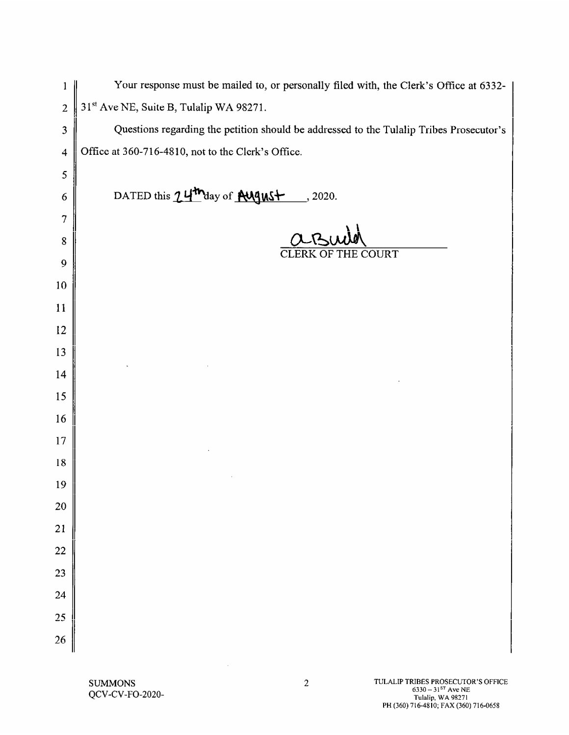| 1               | Your response must be mailed to, or personally filed with, the Clerk's Office at 6332-  |
|-----------------|-----------------------------------------------------------------------------------------|
| $\overline{2}$  | 31st Ave NE, Suite B, Tulalip WA 98271.                                                 |
| 3               | Questions regarding the petition should be addressed to the Tulalip Tribes Prosecutor's |
| $\overline{4}$  | Office at 360-716-4810, not to the Clerk's Office.                                      |
| 5               |                                                                                         |
| 6               | DATED this 24 <sup>th</sup> day of <b>AUGUSt</b> , 2020.                                |
| 7               |                                                                                         |
| 8               |                                                                                         |
| 9               | <b>CLERK OF THE COURT</b>                                                               |
| 10              |                                                                                         |
| 11              |                                                                                         |
| 12              |                                                                                         |
| 13              |                                                                                         |
| 14              |                                                                                         |
| 15              |                                                                                         |
| 16              |                                                                                         |
| 17              |                                                                                         |
| 18              |                                                                                         |
| 19              |                                                                                         |
| 20              |                                                                                         |
| 21              |                                                                                         |
| $\overline{22}$ |                                                                                         |
| $\overline{23}$ |                                                                                         |
| 24              |                                                                                         |
| 25              |                                                                                         |
| 26              |                                                                                         |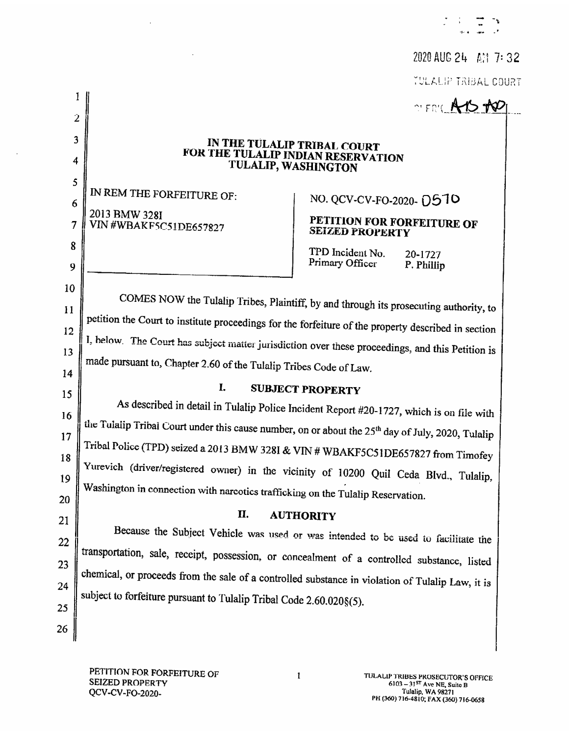2020 AUG 24 AM 7:32 TULALIP TRIBAL COURT

OLERY AYS TOP

## IN THE TULALIP TRIBAL COURT FOR THE TULALIP INDIAN RESERVATION TULALIP, WASHINGTON

IN REM THE FORFEITURE OF: 2013 BMW 328I VIN #WBAKF5C51DE657827

NO. QCV-CV-FO-2020- 0510

## PETITION FOR FORFEITURE OF **SEIZED PROPERTY**

TPD Incident No. Primary Officer

20-1727 P. Phillip

COMES NOW the Tulalip Tribes, Plaintiff, by and through its prosecuting authority, to  $11$ petition the Court to institute proceedings for the forfeiture of the property described in section  $12$ I, below. The Court has subject matter jurisdiction over these proceedings, and this Petition is 13 made pursuant to, Chapter 2.60 of the Tulalip Tribes Code of Law.

 $\mathbf{I}$ .

## 14 15 16 17

18

19

20

21

22

23

24

25

26

 $\mathbf{I}$ 

 $\overline{2}$ 

3

4

5

6

 $\overline{7}$ 

8

9

10

# As described in detail in Tulalip Police Incident Report #20-1727, which is on file with the Tulalip Tribal Court under this cause number, on or about the 25<sup>th</sup> day of July, 2020, Tulalip

**SUBJECT PROPERTY** 

Tribal Police (TPD) seized a 2013 BMW 328I & VIN # WBAKF5C51DE657827 from Timofey Yurevich (driver/registered owner) in the vicinity of 10200 Quil Ceda Blvd., Tulalip, Washington in connection with narcotics trafficking on the Tulalip Reservation.

#### П. **AUTHORITY**

Because the Subject Vehicle was used or was intended to be used to facilitate the transportation, sale, receipt, possession, or concealment of a controlled substance, listed chemical, or proceeds from the sale of a controlled substance in violation of Tulalip Law, it is subject to forfeiture pursuant to Tulalip Tribal Code 2.60.020§(5).

 $\mathbf{1}$